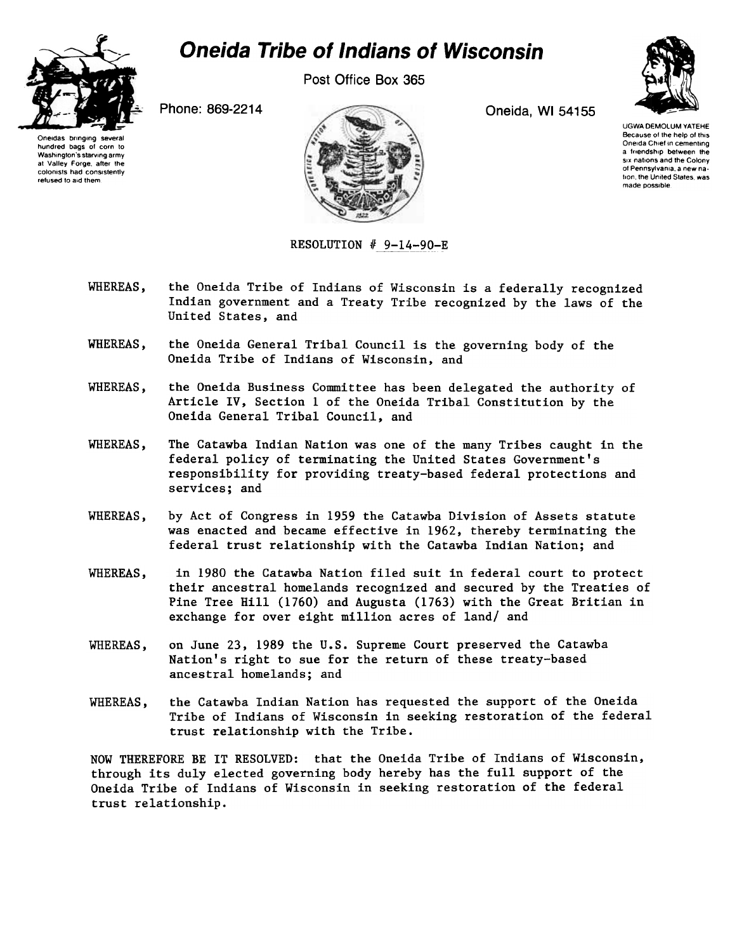

## Oneida Tribe of Indians of Wisconsin

Post Office Box 365

Phone: 869-2214 Oneida, WI 54155



UGWA DEMOLUM YATEHE Because of the help of this Oneida Chief in cementing a friendship between the SIX nations and the Colony of Pennsylvania, a new nation, the United States, was made possible

Oneidas bringing several hundred bags of corn to Washington's starving army at Valley Forge, after the colomsts had consistently refused to aid them



 $RESOLUTION$   $#$  9-14-90

- WHEREAS, the Oneida Tribe of Indians of Wisconsin is a federally recognized Indian government and a Treaty Tribe recognized by the laws of the United States, and
- WHEREAS, the Oneida General Tribal Council is the governing body of the Oneida Tribe of Indians of Wisconsin, and
- WHEREAS, the Oneida Business Committee has been delegated the authority of Article IV, Section 1 of the Oneida Tribal Constitution by the Oneida General Tribal Council, and
- WHEREAS, The Catawba Indian Nation was one of the many Tribes caught in the federal policy of terminating the United States Government's responsibility for providing treaty-based federal protections and services; and
- WHEREAS, by Act of Congress in 1959 the Catawba Division of Assets statute was enacted and became effective in 1962, thereby terminating the federal trust relationship with the Catawba Indian Nation; and
- WHEREAS, in 1980 the Catawba Nation filed suit in federal court to protect their ancestral homelands recognized and secured by the Treaties of Pine Tree Hill (1760) and Augusta (1763) with the Great Britian in exchange for over eight million acres of land/ and
- WHEREAS, on June 23, 1989 the U.S. Supreme Court preserved the Catawba Nation's right to sue for the return of these treaty-based ancestral homelands; and
- the Catawba Indian Nation has requested the support of the Oneida Tribe of Indians of Wisconsin in seeking restoration of the federal trust relationship with the Tribe. WHEREAS,

NOW THEREFORE BE IT RESOLVED: that the Oneida Tribe of Indians of Wisconsin, through its duly elected governing body hereby has the full support of the Oneida Tribe of Indians of Wisconsin in seeking restoration of the federal trust relationship.